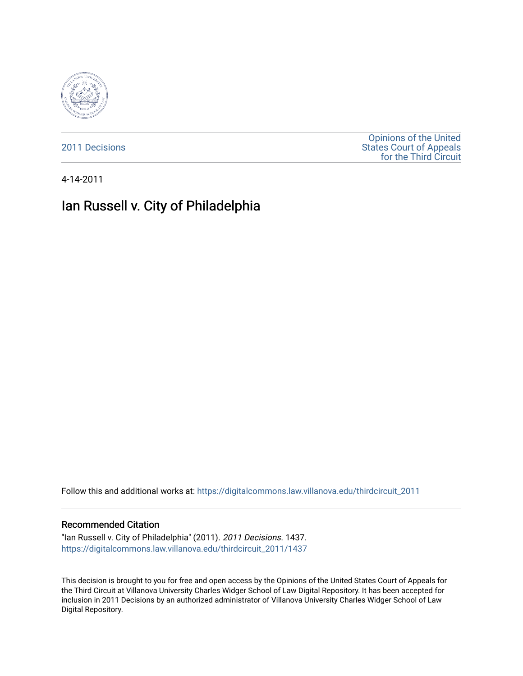

[2011 Decisions](https://digitalcommons.law.villanova.edu/thirdcircuit_2011)

[Opinions of the United](https://digitalcommons.law.villanova.edu/thirdcircuit)  [States Court of Appeals](https://digitalcommons.law.villanova.edu/thirdcircuit)  [for the Third Circuit](https://digitalcommons.law.villanova.edu/thirdcircuit) 

4-14-2011

# Ian Russell v. City of Philadelphia

Follow this and additional works at: [https://digitalcommons.law.villanova.edu/thirdcircuit\\_2011](https://digitalcommons.law.villanova.edu/thirdcircuit_2011?utm_source=digitalcommons.law.villanova.edu%2Fthirdcircuit_2011%2F1437&utm_medium=PDF&utm_campaign=PDFCoverPages) 

#### Recommended Citation

"Ian Russell v. City of Philadelphia" (2011). 2011 Decisions. 1437. [https://digitalcommons.law.villanova.edu/thirdcircuit\\_2011/1437](https://digitalcommons.law.villanova.edu/thirdcircuit_2011/1437?utm_source=digitalcommons.law.villanova.edu%2Fthirdcircuit_2011%2F1437&utm_medium=PDF&utm_campaign=PDFCoverPages) 

This decision is brought to you for free and open access by the Opinions of the United States Court of Appeals for the Third Circuit at Villanova University Charles Widger School of Law Digital Repository. It has been accepted for inclusion in 2011 Decisions by an authorized administrator of Villanova University Charles Widger School of Law Digital Repository.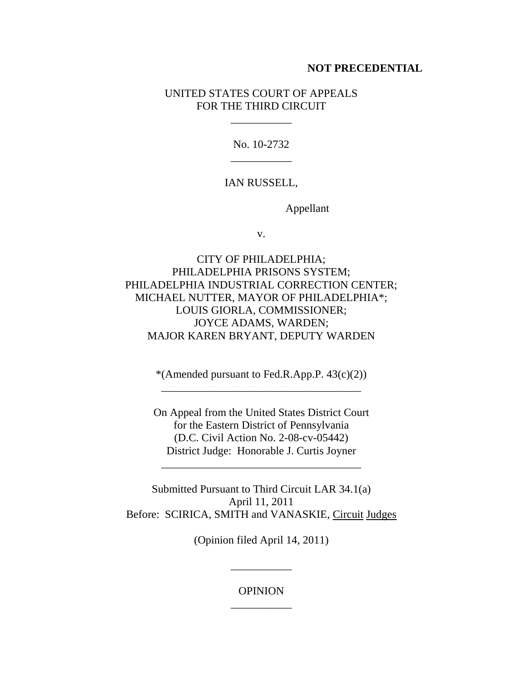#### **NOT PRECEDENTIAL**

## UNITED STATES COURT OF APPEALS FOR THE THIRD CIRCUIT

\_\_\_\_\_\_\_\_\_\_\_

No. 10-2732 \_\_\_\_\_\_\_\_\_\_\_

IAN RUSSELL,

Appellant

v.

CITY OF PHILADELPHIA; PHILADELPHIA PRISONS SYSTEM; PHILADELPHIA INDUSTRIAL CORRECTION CENTER; MICHAEL NUTTER, MAYOR OF PHILADELPHIA\*; LOUIS GIORLA, COMMISSIONER; JOYCE ADAMS, WARDEN; MAJOR KAREN BRYANT, DEPUTY WARDEN

> \*(Amended pursuant to Fed.R.App.P.  $43(c)(2)$ ) \_\_\_\_\_\_\_\_\_\_\_\_\_\_\_\_\_\_\_\_\_\_\_\_\_\_\_\_\_\_\_\_\_\_\_\_

On Appeal from the United States District Court for the Eastern District of Pennsylvania (D.C. Civil Action No. 2-08-cv-05442) District Judge: Honorable J. Curtis Joyner

\_\_\_\_\_\_\_\_\_\_\_\_\_\_\_\_\_\_\_\_\_\_\_\_\_\_\_\_\_\_\_\_\_\_\_\_

Submitted Pursuant to Third Circuit LAR 34.1(a) April 11, 2011 Before: SCIRICA, SMITH and VANASKIE, Circuit Judges

(Opinion filed April 14, 2011)

\_\_\_\_\_\_\_\_\_\_\_

OPINION \_\_\_\_\_\_\_\_\_\_\_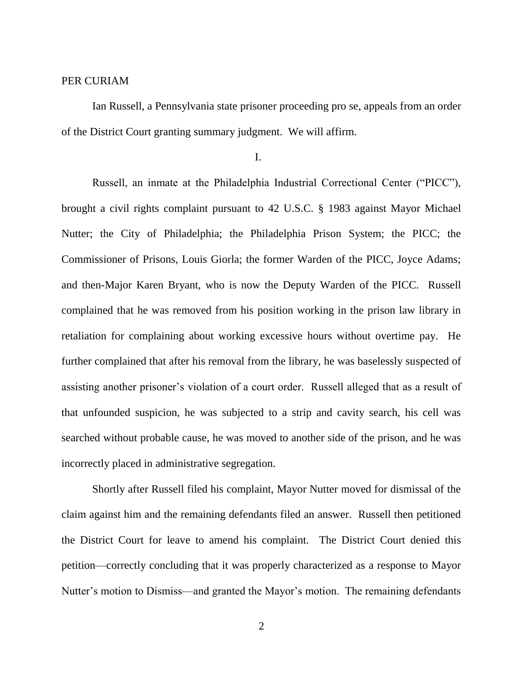## PER CURIAM

Ian Russell, a Pennsylvania state prisoner proceeding pro se, appeals from an order of the District Court granting summary judgment. We will affirm.

I.

Russell, an inmate at the Philadelphia Industrial Correctional Center ("PICC"), brought a civil rights complaint pursuant to 42 U.S.C. § 1983 against Mayor Michael Nutter; the City of Philadelphia; the Philadelphia Prison System; the PICC; the Commissioner of Prisons, Louis Giorla; the former Warden of the PICC, Joyce Adams; and then-Major Karen Bryant, who is now the Deputy Warden of the PICC. Russell complained that he was removed from his position working in the prison law library in retaliation for complaining about working excessive hours without overtime pay. He further complained that after his removal from the library, he was baselessly suspected of assisting another prisoner's violation of a court order. Russell alleged that as a result of that unfounded suspicion, he was subjected to a strip and cavity search, his cell was searched without probable cause, he was moved to another side of the prison, and he was incorrectly placed in administrative segregation.

Shortly after Russell filed his complaint, Mayor Nutter moved for dismissal of the claim against him and the remaining defendants filed an answer. Russell then petitioned the District Court for leave to amend his complaint. The District Court denied this petition—correctly concluding that it was properly characterized as a response to Mayor Nutter's motion to Dismiss—and granted the Mayor's motion. The remaining defendants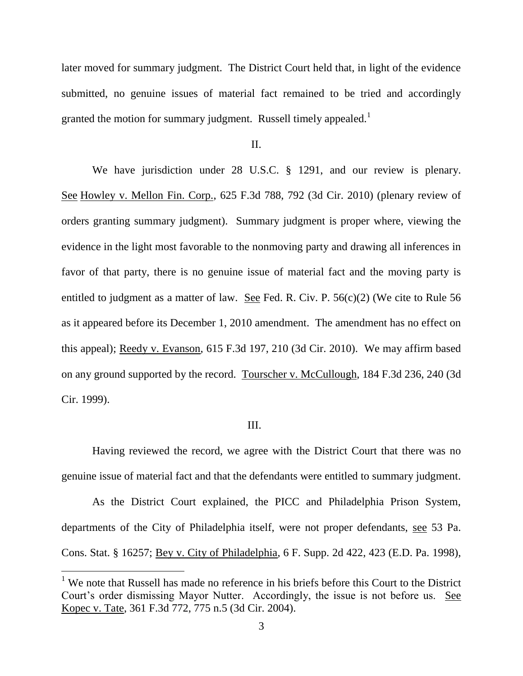later moved for summary judgment. The District Court held that, in light of the evidence submitted, no genuine issues of material fact remained to be tried and accordingly granted the motion for summary judgment. Russell timely appealed.<sup>1</sup>

II.

We have jurisdiction under 28 U.S.C. § 1291, and our review is plenary. See Howley v. Mellon Fin. Corp., 625 F.3d 788, 792 (3d Cir. 2010) (plenary review of orders granting summary judgment). Summary judgment is proper where, viewing the evidence in the light most favorable to the nonmoving party and drawing all inferences in favor of that party, there is no genuine issue of material fact and the moving party is entitled to judgment as a matter of law. See Fed. R. Civ. P. 56(c)(2) (We cite to Rule 56 as it appeared before its December 1, 2010 amendment. The amendment has no effect on this appeal); Reedy v. Evanson, 615 F.3d 197, 210 (3d Cir. 2010). We may affirm based on any ground supported by the record. Tourscher v. McCullough, 184 F.3d 236, 240 (3d Cir. 1999).

#### III.

Having reviewed the record, we agree with the District Court that there was no genuine issue of material fact and that the defendants were entitled to summary judgment.

As the District Court explained, the PICC and Philadelphia Prison System, departments of the City of Philadelphia itself, were not proper defendants, see 53 Pa. Cons. Stat. § 16257; Bey v. City of Philadelphia, 6 F. Supp. 2d 422, 423 (E.D. Pa. 1998),

 $1$  We note that Russell has made no reference in his briefs before this Court to the District Court's order dismissing Mayor Nutter. Accordingly, the issue is not before us. See Kopec v. Tate, 361 F.3d 772, 775 n.5 (3d Cir. 2004).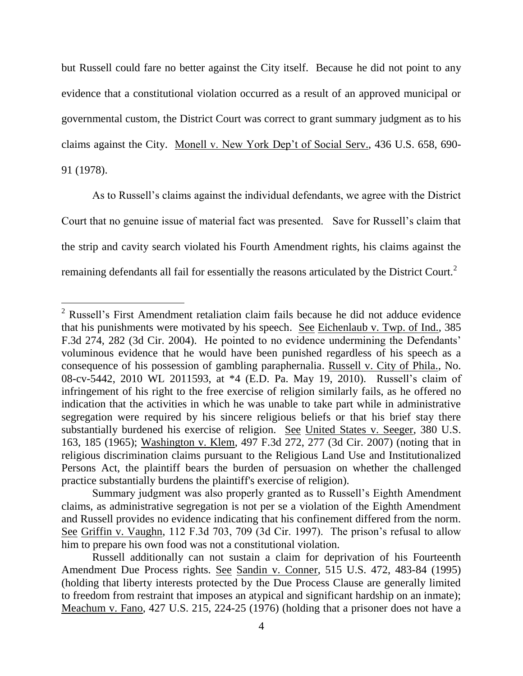but Russell could fare no better against the City itself. Because he did not point to any evidence that a constitutional violation occurred as a result of an approved municipal or governmental custom, the District Court was correct to grant summary judgment as to his claims against the City. Monell v. New York Dep't of Social Serv., 436 U.S. 658, 690- 91 (1978).

As to Russell's claims against the individual defendants, we agree with the District Court that no genuine issue of material fact was presented. Save for Russell's claim that the strip and cavity search violated his Fourth Amendment rights, his claims against the remaining defendants all fail for essentially the reasons articulated by the District Court.<sup>2</sup>

 $\overline{a}$ 

 $2$  Russell's First Amendment retaliation claim fails because he did not adduce evidence that his punishments were motivated by his speech. See Eichenlaub v. Twp. of Ind., 385 F.3d 274, 282 (3d Cir. 2004). He pointed to no evidence undermining the Defendants' voluminous evidence that he would have been punished regardless of his speech as a consequence of his possession of gambling paraphernalia. Russell v. City of Phila., No. 08-cv-5442, 2010 WL 2011593, at \*4 (E.D. Pa. May 19, 2010). Russell's claim of infringement of his right to the free exercise of religion similarly fails, as he offered no indication that the activities in which he was unable to take part while in administrative segregation were required by his sincere religious beliefs or that his brief stay there substantially burdened his exercise of religion. See United States v. Seeger, 380 U.S. 163, 185 (1965); Washington v. Klem, 497 F.3d 272, 277 (3d Cir. 2007) (noting that in religious discrimination claims pursuant to the Religious Land Use and Institutionalized Persons Act, the plaintiff bears the burden of persuasion on whether the challenged practice substantially burdens the plaintiff's exercise of religion).

Summary judgment was also properly granted as to Russell's Eighth Amendment claims, as administrative segregation is not per se a violation of the Eighth Amendment and Russell provides no evidence indicating that his confinement differed from the norm. See Griffin v. Vaughn, 112 F.3d 703, 709 (3d Cir. 1997). The prison's refusal to allow him to prepare his own food was not a constitutional violation.

Russell additionally can not sustain a claim for deprivation of his Fourteenth Amendment Due Process rights. See Sandin v. Conner, 515 U.S. 472, 483-84 (1995) (holding that liberty interests protected by the Due Process Clause are generally limited to freedom from restraint that imposes an atypical and significant hardship on an inmate); Meachum v. Fano, 427 U.S. 215, 224-25 (1976) (holding that a prisoner does not have a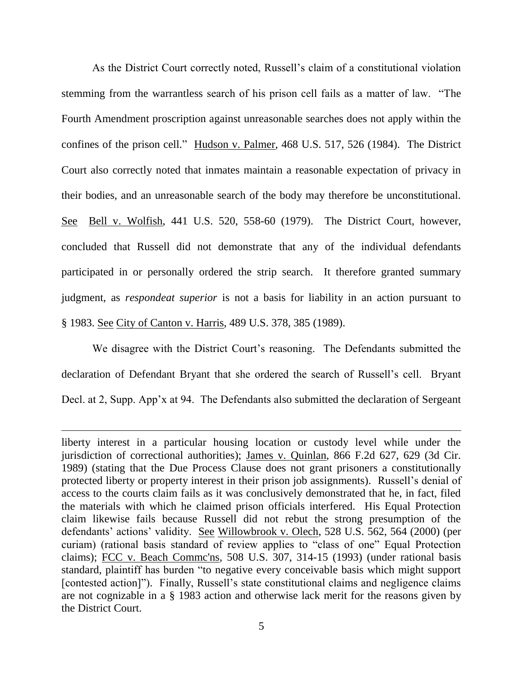As the District Court correctly noted, Russell's claim of a constitutional violation stemming from the warrantless search of his prison cell fails as a matter of law. "The Fourth Amendment proscription against unreasonable searches does not apply within the confines of the prison cell." Hudson v. Palmer, 468 U.S. 517, 526 (1984). The District Court also correctly noted that inmates maintain a reasonable expectation of privacy in their bodies, and an unreasonable search of the body may therefore be unconstitutional. See Bell v. Wolfish, 441 U.S. 520, 558-60 (1979). The District Court, however, concluded that Russell did not demonstrate that any of the individual defendants participated in or personally ordered the strip search. It therefore granted summary judgment, as *respondeat superior* is not a basis for liability in an action pursuant to § 1983. See City of Canton v. Harris, 489 U.S. 378, 385 (1989).

We disagree with the District Court's reasoning. The Defendants submitted the declaration of Defendant Bryant that she ordered the search of Russell's cell. Bryant Decl. at 2, Supp. App'x at 94. The Defendants also submitted the declaration of Sergeant

liberty interest in a particular housing location or custody level while under the jurisdiction of correctional authorities); James v. Quinlan, 866 F.2d 627, 629 (3d Cir. 1989) (stating that the Due Process Clause does not grant prisoners a constitutionally protected liberty or property interest in their prison job assignments). Russell's denial of access to the courts claim fails as it was conclusively demonstrated that he, in fact, filed the materials with which he claimed prison officials interfered. His Equal Protection claim likewise fails because Russell did not rebut the strong presumption of the defendants' actions' validity. See Willowbrook v. Olech, 528 U.S. 562, 564 (2000) (per curiam) (rational basis standard of review applies to "class of one" Equal Protection claims); FCC v. Beach Commc'ns, 508 U.S. 307, 314-15 (1993) (under rational basis standard, plaintiff has burden "to negative every conceivable basis which might support [contested action]"). Finally, Russell's state constitutional claims and negligence claims are not cognizable in a § 1983 action and otherwise lack merit for the reasons given by the District Court.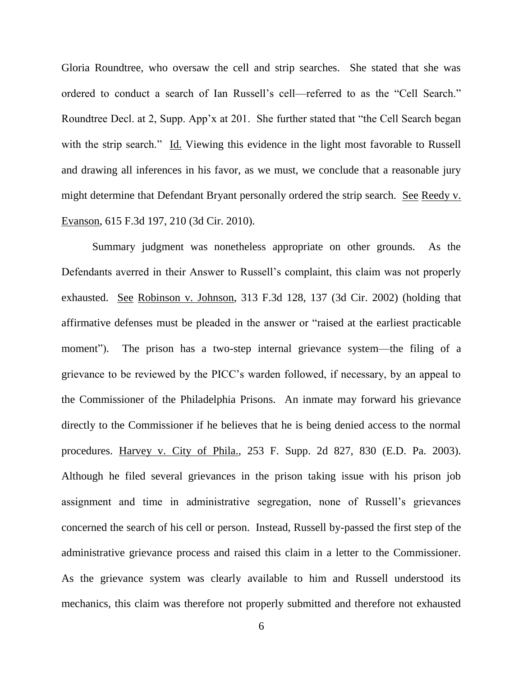Gloria Roundtree, who oversaw the cell and strip searches. She stated that she was ordered to conduct a search of Ian Russell's cell—referred to as the "Cell Search." Roundtree Decl. at 2, Supp. App'x at 201. She further stated that "the Cell Search began with the strip search." Id. Viewing this evidence in the light most favorable to Russell and drawing all inferences in his favor, as we must, we conclude that a reasonable jury might determine that Defendant Bryant personally ordered the strip search. See Reedy v. Evanson, 615 F.3d 197, 210 (3d Cir. 2010).

Summary judgment was nonetheless appropriate on other grounds. As the Defendants averred in their Answer to Russell's complaint, this claim was not properly exhausted. See Robinson v. Johnson, 313 F.3d 128, 137 (3d Cir. 2002) (holding that affirmative defenses must be pleaded in the answer or "raised at the earliest practicable moment"). The prison has a two-step internal grievance system—the filing of a grievance to be reviewed by the PICC's warden followed, if necessary, by an appeal to the Commissioner of the Philadelphia Prisons. An inmate may forward his grievance directly to the Commissioner if he believes that he is being denied access to the normal procedures. Harvey v. City of Phila., 253 F. Supp. 2d 827, 830 (E.D. Pa. 2003). Although he filed several grievances in the prison taking issue with his prison job assignment and time in administrative segregation, none of Russell's grievances concerned the search of his cell or person. Instead, Russell by-passed the first step of the administrative grievance process and raised this claim in a letter to the Commissioner. As the grievance system was clearly available to him and Russell understood its mechanics, this claim was therefore not properly submitted and therefore not exhausted